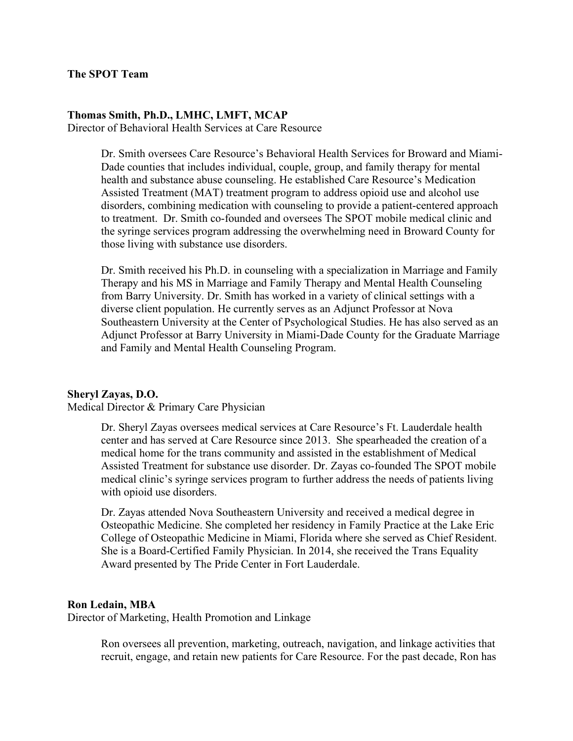## **Thomas Smith, Ph.D., LMHC, LMFT, MCAP**

Director of Behavioral Health Services at Care Resource

Dr. Smith oversees Care Resource's Behavioral Health Services for Broward and Miami-Dade counties that includes individual, couple, group, and family therapy for mental health and substance abuse counseling. He established Care Resource's Medication Assisted Treatment (MAT) treatment program to address opioid use and alcohol use disorders, combining medication with counseling to provide a patient-centered approach to treatment. Dr. Smith co-founded and oversees The SPOT mobile medical clinic and the syringe services program addressing the overwhelming need in Broward County for those living with substance use disorders.

Dr. Smith received his Ph.D. in counseling with a specialization in Marriage and Family Therapy and his MS in Marriage and Family Therapy and Mental Health Counseling from Barry University. Dr. Smith has worked in a variety of clinical settings with a diverse client population. He currently serves as an Adjunct Professor at Nova Southeastern University at the Center of Psychological Studies. He has also served as an Adjunct Professor at Barry University in Miami-Dade County for the Graduate Marriage and Family and Mental Health Counseling Program.

## **Sheryl Zayas, D.O.**

Medical Director & Primary Care Physician

Dr. Sheryl Zayas oversees medical services at Care Resource's Ft. Lauderdale health center and has served at Care Resource since 2013. She spearheaded the creation of a medical home for the trans community and assisted in the establishment of Medical Assisted Treatment for substance use disorder. Dr. Zayas co-founded The SPOT mobile medical clinic's syringe services program to further address the needs of patients living with opioid use disorders.

Dr. Zayas attended Nova Southeastern University and received a medical degree in Osteopathic Medicine. She completed her residency in Family Practice at the Lake Eric College of Osteopathic Medicine in Miami, Florida where she served as Chief Resident. She is a Board-Certified Family Physician. In 2014, she received the Trans Equality Award presented by The Pride Center in Fort Lauderdale.

## **Ron Ledain, MBA**

Director of Marketing, Health Promotion and Linkage

Ron oversees all prevention, marketing, outreach, navigation, and linkage activities that recruit, engage, and retain new patients for Care Resource. For the past decade, Ron has